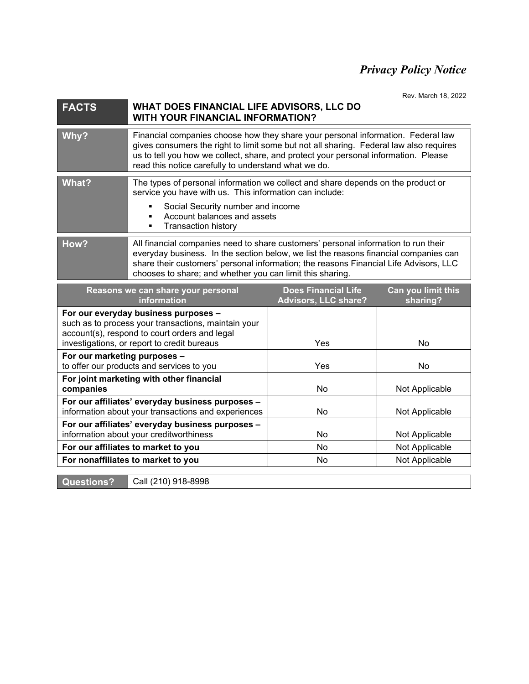## *Privacy Policy Notice*

Rev. March 18, 2022

| <b>FACTS</b> | WHAT DOES FINANCIAL LIFE ADVISORS, LLC DO<br><b>WITH YOUR FINANCIAL INFORMATION?</b>                                                                                                                                                                                                                                             |  |
|--------------|----------------------------------------------------------------------------------------------------------------------------------------------------------------------------------------------------------------------------------------------------------------------------------------------------------------------------------|--|
| Why?         | Financial companies choose how they share your personal information. Federal law<br>gives consumers the right to limit some but not all sharing. Federal law also requires<br>us to tell you how we collect, share, and protect your personal information. Please<br>read this notice carefully to understand what we do.        |  |
| What?        | The types of personal information we collect and share depends on the product or<br>service you have with us. This information can include:<br>Social Security number and income<br>Account balances and assets<br><b>Transaction history</b>                                                                                    |  |
| How?         | All financial companies need to share customers' personal information to run their<br>everyday business. In the section below, we list the reasons financial companies can<br>share their customers' personal information; the reasons Financial Life Advisors, LLC<br>chooses to share; and whether you can limit this sharing. |  |

| Reasons we can share your personal<br><i>information</i>                                                                                                                                    | <b>Does Financial Life</b><br><b>Advisors, LLC share?</b> | Can you limit this<br>sharing? |
|---------------------------------------------------------------------------------------------------------------------------------------------------------------------------------------------|-----------------------------------------------------------|--------------------------------|
| For our everyday business purposes -<br>such as to process your transactions, maintain your<br>account(s), respond to court orders and legal<br>investigations, or report to credit bureaus | Yes                                                       | No.                            |
| For our marketing purposes -<br>to offer our products and services to you                                                                                                                   | Yes                                                       | No.                            |
| For joint marketing with other financial<br>companies                                                                                                                                       | No                                                        | Not Applicable                 |
| For our affiliates' everyday business purposes -<br>information about your transactions and experiences                                                                                     | No.                                                       | Not Applicable                 |
| For our affiliates' everyday business purposes -<br>information about your creditworthiness                                                                                                 | N <sub>0</sub>                                            | Not Applicable                 |
| For our affiliates to market to you                                                                                                                                                         | No.                                                       | Not Applicable                 |
| For nonaffiliates to market to you                                                                                                                                                          | No.                                                       | Not Applicable                 |

**Questions? Call (210) 918-8998**